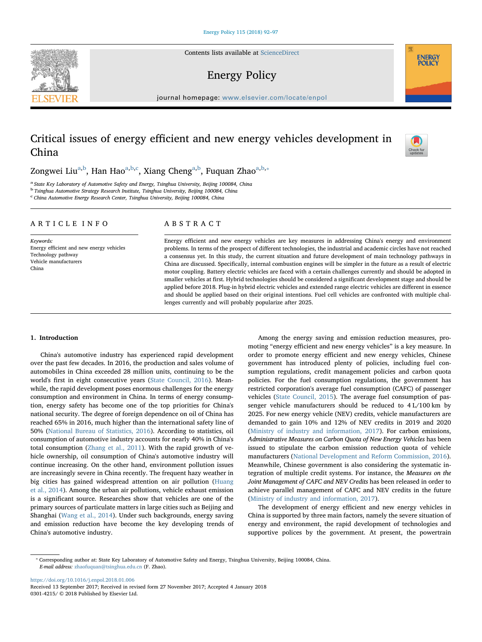Contents lists available at [ScienceDirect](http://www.sciencedirect.com/science/journal/03014215)

Energy Policy

journal homepage: [www.elsevier.com/locate/enpol](https://www.elsevier.com/locate/enpol)

# Critical issues of energy efficient and new energy vehicles development in China



<span id="page-0-0"></span>a State Key Laboratory of Automotive Safety and Energy, Tsinghua University, Beijing 100084, China

<span id="page-0-1"></span><sup>b</sup> Tsinghua Automotive Strategy Research Institute, Tsinghua University, Beijing 100084, China

<span id="page-0-2"></span><sup>c</sup> China Automotive Energy Research Center, Tsinghua University, Beijing 100084, China

## ARTICLE INFO

Keywords: Energy efficient and new energy vehicles Technology pathway Vehicle manufacturers China

## ABSTRACT

Energy efficient and new energy vehicles are key measures in addressing China's energy and environment problems. In terms of the prospect of different technologies, the industrial and academic circles have not reached a consensus yet. In this study, the current situation and future development of main technology pathways in China are discussed. Specifically, internal combustion engines will be simpler in the future as a result of electric motor coupling. Battery electric vehicles are faced with a certain challenges currently and should be adopted in smaller vehicles at first. Hybrid technologies should be considered a significant development stage and should be applied before 2018. Plug-in hybrid electric vehicles and extended range electric vehicles are different in essence and should be applied based on their original intentions. Fuel cell vehicles are confronted with multiple challenges currently and will probably popularize after 2025.

### 1. Introduction

China's automotive industry has experienced rapid development over the past few decades. In 2016, the production and sales volume of automobiles in China exceeded 28 million units, continuing to be the world's first in eight consecutive years ([State Council, 2016\)](#page-4-0). Meanwhile, the rapid development poses enormous challenges for the energy consumption and environment in China. In terms of energy consumption, energy safety has become one of the top priorities for China's national security. The degree of foreign dependence on oil of China has reached 65% in 2016, much higher than the international safety line of 50% ([National Bureau of Statistics, 2016](#page-4-1)). According to statistics, oil consumption of automotive industry accounts for nearly 40% in China's total consumption [\(Zhang et al., 2011](#page-5-0)). With the rapid growth of vehicle ownership, oil consumption of China's automotive industry will continue increasing. On the other hand, environment pollution issues are increasingly severe in China recently. The frequent hazy weather in big cities has gained widespread attention on air pollution [\(Huang](#page-4-2) [et al., 2014\)](#page-4-2). Among the urban air pollutions, vehicle exhaust emission is a significant source. Researches show that vehicles are one of the primary sources of particulate matters in large cities such as Beijing and Shanghai ([Wang et al., 2014](#page-5-1)). Under such backgrounds, energy saving and emission reduction have become the key developing trends of China's automotive industry.

Among the energy saving and emission reduction measures, promoting "energy efficient and new energy vehicles" is a key measure. In order to promote energy efficient and new energy vehicles, Chinese government has introduced plenty of policies, including fuel consumption regulations, credit management policies and carbon quota policies. For the fuel consumption regulations, the government has restricted corporation's average fuel consumption (CAFC) of passenger vehicles [\(State Council, 2015](#page-4-3)). The average fuel consumption of passenger vehicle manufacturers should be reduced to 4 L/100 km by 2025. For new energy vehicle (NEV) credits, vehicle manufacturers are demanded to gain 10% and 12% of NEV credits in 2019 and 2020 ([Ministry of industry and information, 2017](#page-4-4)). For carbon emissions, Administrative Measures on Carbon Quota of New Energy Vehicles has been issued to stipulate the carbon emission reduction quota of vehicle manufacturers ([National Development and Reform Commission, 2016](#page-4-5)). Meanwhile, Chinese government is also considering the systematic integration of multiple credit systems. For instance, the Measures on the Joint Management of CAFC and NEV Credits has been released in order to achieve parallel management of CAFC and NEV credits in the future ([Ministry of industry and information, 2017\)](#page-4-4).

The development of energy efficient and new energy vehicles in China is supported by three main factors, namely the severe situation of energy and environment, the rapid development of technologies and supportive polices by the government. At present, the powertrain

<https://doi.org/10.1016/j.enpol.2018.01.006> Received 13 September 2017; Received in revised form 27 November 2017; Accepted 4 January 2018 0301-4215/ © 2018 Published by Elsevier Ltd.





**NERGY POLIC** 

<span id="page-0-3"></span><sup>⁎</sup> Corresponding author at: State Key Laboratory of Automotive Safety and Energy, Tsinghua University, Beijing 100084, China. E-mail address: [zhaofuquan@tsinghua.edu.cn](mailto:zhaofuquan@tsinghua.edu.cn) (F. Zhao).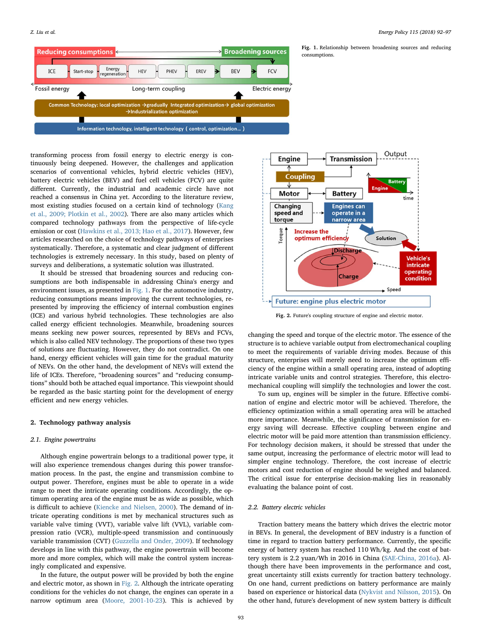<span id="page-1-0"></span>

Fig. 1. Relationship between broadening sources and reducing consumptions.

transforming process from fossil energy to electric energy is continuously being deepened. However, the challenges and application scenarios of conventional vehicles, hybrid electric vehicles (HEV), battery electric vehicles (BEV) and fuel cell vehicles (FCV) are quite different. Currently, the industrial and academic circle have not reached a consensus in China yet. According to the literature review, most existing studies focused on a certain kind of technology ([Kang](#page-4-6) [et al., 2009; Plotkin et al., 2002\)](#page-4-6). There are also many articles which compared technology pathways from the perspective of life-cycle emission or cost [\(Hawkins et al., 2013; Hao et al., 2017](#page-4-7)). However, few articles researched on the choice of technology pathways of enterprises systematically. Therefore, a systematic and clear judgment of different technologies is extremely necessary. In this study, based on plenty of surveys and deliberations, a systematic solution was illustrated.

It should be stressed that broadening sources and reducing consumptions are both indispensable in addressing China's energy and environment issues, as presented in [Fig. 1.](#page-1-0) For the automotive industry, reducing consumptions means improving the current technologies, represented by improving the efficiency of internal combustion engines (ICE) and various hybrid technologies. These technologies are also called energy efficient technologies. Meanwhile, broadening sources means seeking new power sources, represented by BEVs and FCVs, which is also called NEV technology. The proportions of these two types of solutions are fluctuating. However, they do not contradict. On one hand, energy efficient vehicles will gain time for the gradual maturity of NEVs. On the other hand, the development of NEVs will extend the life of ICEs. Therefore, "broadening sources" and "reducing consumptions" should both be attached equal importance. This viewpoint should be regarded as the basic starting point for the development of energy efficient and new energy vehicles.

## 2. Technology pathway analysis

#### 2.1. Engine powertrains

Although engine powertrain belongs to a traditional power type, it will also experience tremendous changes during this power transformation process. In the past, the engine and transmission combine to output power. Therefore, engines must be able to operate in a wide range to meet the intricate operating conditions. Accordingly, the optimum operating area of the engine must be as wide as possible, which is difficult to achieve ([Kiencke and Nielsen, 2000](#page-4-8)). The demand of intricate operating conditions is met by mechanical structures such as variable valve timing (VVT), variable valve lift (VVL), variable compression ratio (VCR), multiple-speed transmission and continuously variable transmission (CVT) ([Guzzella and Onder, 2009](#page-4-9)). If technology develops in line with this pathway, the engine powertrain will become more and more complex, which will make the control system increasingly complicated and expensive.

In the future, the output power will be provided by both the engine and electric motor, as shown in [Fig. 2](#page-1-1). Although the intricate operating conditions for the vehicles do not change, the engines can operate in a narrow optimum area ([Moore, 2001-10-23\)](#page-4-10). This is achieved by

<span id="page-1-1"></span>

Fig. 2. Future's coupling structure of engine and electric motor.

changing the speed and torque of the electric motor. The essence of the structure is to achieve variable output from electromechanical coupling to meet the requirements of variable driving modes. Because of this structure, enterprises will merely need to increase the optimum efficiency of the engine within a small operating area, instead of adopting intricate variable units and control strategies. Therefore, this electromechanical coupling will simplify the technologies and lower the cost.

To sum up, engines will be simpler in the future. Effective combination of engine and electric motor will be achieved. Therefore, the efficiency optimization within a small operating area will be attached more importance. Meanwhile, the significance of transmission for energy saving will decrease. Effective coupling between engine and electric motor will be paid more attention than transmission efficiency. For technology decision makers, it should be stressed that under the same output, increasing the performance of electric motor will lead to simpler engine technology. Therefore, the cost increase of electric motors and cost reduction of engine should be weighed and balanced. The critical issue for enterprise decision-making lies in reasonably evaluating the balance point of cost.

## 2.2. Battery electric vehicles

Traction battery means the battery which drives the electric motor in BEVs. In general, the development of BEV industry is a function of time in regard to traction battery performance. Currently, the specific energy of battery system has reached 110 Wh/kg. And the cost of battery system is 2.2 yuan/Wh in 2016 in China [\(SAE-China, 2016a](#page-4-11)). Although there have been improvements in the performance and cost, great uncertainty still exists currently for traction battery technology. On one hand, current predictions on battery performance are mainly based on experience or historical data ([Nykvist and Nilsson, 2015\)](#page-4-12). On the other hand, future's development of new system battery is difficult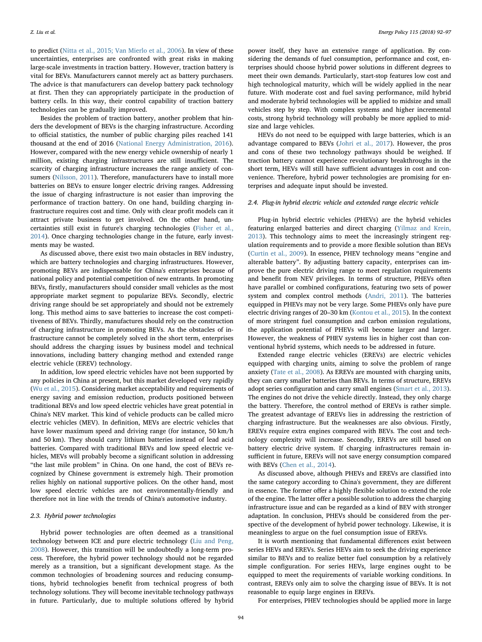to predict [\(Nitta et al., 2015; Van Mierlo et al., 2006\)](#page-4-13). In view of these uncertainties, enterprises are confronted with great risks in making large-scale investments in traction battery. However, traction battery is vital for BEVs. Manufacturers cannot merely act as battery purchasers. The advice is that manufacturers can develop battery pack technology at first. Then they can appropriately participate in the production of battery cells. In this way, their control capability of traction battery technologies can be gradually improved.

Besides the problem of traction battery, another problem that hinders the development of BEVs is the charging infrastructure. According to official statistics, the number of public charging piles reached 141 thousand at the end of 2016 ([National Energy Administration, 2016](#page-4-14)). However, compared with the new energy vehicle ownership of nearly 1 million, existing charging infrastructures are still insufficient. The scarcity of charging infrastructure increases the range anxiety of consumers ([Nilsson, 2011\)](#page-4-15). Therefore, manufacturers have to install more batteries on BEVs to ensure longer electric driving ranges. Addressing the issue of charging infrastructure is not easier than improving the performance of traction battery. On one hand, building charging infrastructure requires cost and time. Only with clear profit models can it attract private business to get involved. On the other hand, uncertainties still exist in future's charging technologies ([Fisher et al.,](#page-4-16) [2014\)](#page-4-16). Once charging technologies change in the future, early investments may be wasted.

As discussed above, there exist two main obstacles in BEV industry, which are battery technologies and charging infrastructures. However, promoting BEVs are indispensable for China's enterprises because of national policy and potential competition of new entrants. In promoting BEVs, firstly, manufacturers should consider small vehicles as the most appropriate market segment to popularize BEVs. Secondly, electric driving range should be set appropriately and should not be extremely long. This method aims to save batteries to increase the cost competitiveness of BEVs. Thirdly, manufactures should rely on the construction of charging infrastructure in promoting BEVs. As the obstacles of infrastructure cannot be completely solved in the short term, enterprises should address the charging issues by business model and technical innovations, including battery changing method and extended range electric vehicle (EREV) technology.

In addition, low speed electric vehicles have not been supported by any policies in China at present, but this market developed very rapidly ([Wu et al., 2015\)](#page-5-2). Considering market acceptability and requirements of energy saving and emission reduction, products positioned between traditional BEVs and low speed electric vehicles have great potential in China's NEV market. This kind of vehicle products can be called micro electric vehicles (MEV). In definition, MEVs are electric vehicles that have lower maximum speed and driving range (for instance, 50 km/h and 50 km). They should carry lithium batteries instead of lead acid batteries. Compared with traditional BEVs and low speed electric vehicles, MEVs will probably become a significant solution in addressing "the last mile problem" in China. On one hand, the cost of BEVs recognized by Chinese government is extremely high. Their promotion relies highly on national supportive polices. On the other hand, most low speed electric vehicles are not environmentally-friendly and therefore not in line with the trends of China's automotive industry.

#### 2.3. Hybrid power technologies

Hybrid power technologies are often deemed as a transitional technology between ICE and pure electric technology [\(Liu and Peng,](#page-4-17) [2008\)](#page-4-17). However, this transition will be undoubtedly a long-term process. Therefore, the hybrid power technology should not be regarded merely as a transition, but a significant development stage. As the common technologies of broadening sources and reducing consumptions, hybrid technologies benefit from technical progress of both technology solutions. They will become inevitable technology pathways in future. Particularly, due to multiple solutions offered by hybrid

power itself, they have an extensive range of application. By considering the demands of fuel consumption, performance and cost, enterprises should choose hybrid power solutions in different degrees to meet their own demands. Particularly, start-stop features low cost and high technological maturity, which will be widely applied in the near future. With moderate cost and fuel saving performance, mild hybrid and moderate hybrid technologies will be applied to midsize and small vehicles step by step. With complex systems and higher incremental costs, strong hybrid technology will probably be more applied to midsize and large vehicles.

HEVs do not need to be equipped with large batteries, which is an advantage compared to BEVs ([Johri et al., 2017](#page-4-18)). However, the pros and cons of these two technology pathways should be weighed. If traction battery cannot experience revolutionary breakthroughs in the short term, HEVs will still have sufficient advantages in cost and convenience. Therefore, hybrid power technologies are promising for enterprises and adequate input should be invested.

#### 2.4. Plug-in hybrid electric vehicle and extended range electric vehicle

Plug-in hybrid electric vehicles (PHEVs) are the hybrid vehicles featuring enlarged batteries and direct charging ([Yilmaz and Krein,](#page-5-3) [2013\)](#page-5-3). This technology aims to meet the increasingly stringent regulation requirements and to provide a more flexible solution than BEVs ([Curtin et al., 2009\)](#page-4-19). In essence, PHEV technology means "engine and alterable battery". By adjusting battery capacity, enterprises can improve the pure electric driving range to meet regulation requirements and benefit from NEV privileges. In terms of structure, PHEVs often have parallel or combined configurations, featuring two sets of power system and complex control methods ([Andri, 2011](#page-4-20)). The batteries equipped in PHEVs may not be very large. Some PHEVs only have pure electric driving ranges of 20–30 km [\(Kontou et al., 2015](#page-4-21)). In the context of more stringent fuel consumption and carbon emission regulations, the application potential of PHEVs will become larger and larger. However, the weakness of PHEV systems lies in higher cost than conventional hybrid systems, which needs to be addressed in future.

Extended range electric vehicles (EREVs) are electric vehicles equipped with charging units, aiming to solve the problem of range anxiety ([Tate et al., 2008\)](#page-4-22). As EREVs are mounted with charging units, they can carry smaller batteries than BEVs. In terms of structure, EREVs adopt series configuration and carry small engines [\(Smart et al., 2013](#page-4-23)). The engines do not drive the vehicle directly. Instead, they only charge the battery. Therefore, the control method of EREVs is rather simple. The greatest advantage of EREVs lies in addressing the restriction of charging infrastructure. But the weaknesses are also obvious. Firstly, EREVs require extra engines compared with BEVs. The cost and technology complexity will increase. Secondly, EREVs are still based on battery electric drive system. If charging infrastructures remain insufficient in future, EREVs will not save energy consumption compared with BEVs ([Chen et al., 2014](#page-4-24)).

As discussed above, although PHEVs and EREVs are classified into the same category according to China's government, they are different in essence. The former offer a highly flexible solution to extend the role of the engine. The latter offer a possible solution to address the charging infrastructure issue and can be regarded as a kind of BEV with stronger adaptation. In conclusion, PHEVs should be considered from the perspective of the development of hybrid power technology. Likewise, it is meaningless to argue on the fuel consumption issue of EREVs.

It is worth mentioning that fundamental differences exist between series HEVs and EREVs. Series HEVs aim to seek the driving experience similar to BEVs and to realize better fuel consumption by a relatively simple configuration. For series HEVs, large engines ought to be equipped to meet the requirements of variable working conditions. In contrast, EREVs only aim to solve the charging issue of BEVs. It is not reasonable to equip large engines in EREVs.

For enterprises, PHEV technologies should be applied more in large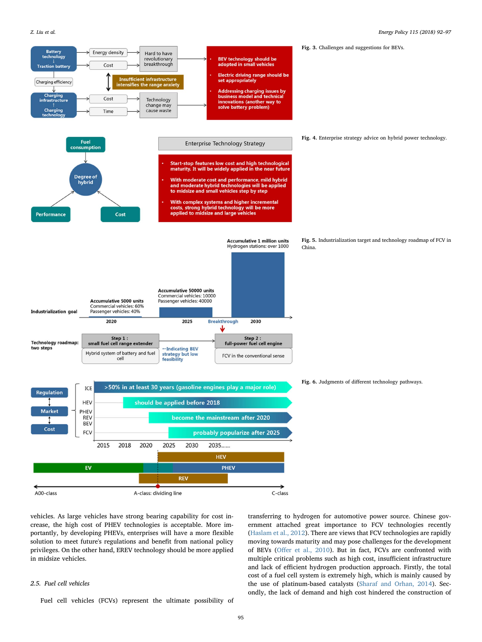<span id="page-3-2"></span><span id="page-3-1"></span><span id="page-3-0"></span>

vehicles. As large vehicles have strong bearing capability for cost increase, the high cost of PHEV technologies is acceptable. More importantly, by developing PHEVs, enterprises will have a more flexible solution to meet future's regulations and benefit from national policy privileges. On the other hand, EREV technology should be more applied in midsize vehicles.

#### 2.5. Fuel cell vehicles

Fuel cell vehicles (FCVs) represent the ultimate possibility of

transferring to hydrogen for automotive power source. Chinese government attached great importance to FCV technologies recently ([Haslam et al., 2012](#page-4-25)). There are views that FCV technologies are rapidly moving towards maturity and may pose challenges for the development of BEVs (Off[er et al., 2010\)](#page-4-26). But in fact, FCVs are confronted with multiple critical problems such as high cost, insufficient infrastructure and lack of efficient hydrogen production approach. Firstly, the total cost of a fuel cell system is extremely high, which is mainly caused by the use of platinum-based catalysts [\(Sharaf and Orhan, 2014](#page-4-27)). Secondly, the lack of demand and high cost hindered the construction of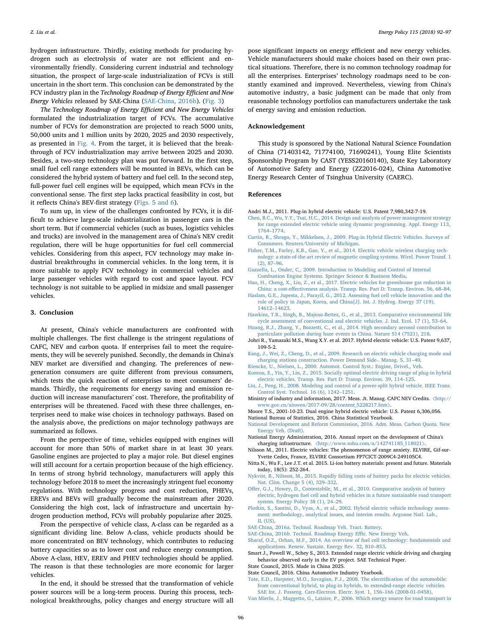hydrogen infrastructure. Thirdly, existing methods for producing hydrogen such as electrolysis of water are not efficient and environmentally friendly. Considering current industrial and technology situation, the prospect of large-scale industrialization of FCVs is still uncertain in the short term. This conclusion can be demonstrated by the FCV industry plan in the Technology Roadmap of Energy Efficient and New Energy Vehicles released by SAE-China [\(SAE-China, 2016b\)](#page-4-28). ([Fig. 3\)](#page-3-0)

The Technology Roadmap of Energy Efficient and New Energy Vehicles formulated the industrialization target of FCVs. The accumulative number of FCVs for demonstration are projected to reach 5000 units, 50,000 units and 1 million units by 2020, 2025 and 2030 respectively, as presented in [Fig. 4.](#page-3-1) From the target, it is believed that the breakthrough of FCV industrialization may arrive between 2025 and 2030. Besides, a two-step technology plan was put forward. In the first step, small fuel cell range extenders will be mounted in BEVs, which can be considered the hybrid system of battery and fuel cell. In the second step, full-power fuel cell engines will be equipped, which mean FCVs in the conventional sense. The first step lacks practical feasibility in cost, but it reflects China's BEV-first strategy ([Figs. 5 and 6](#page-3-2)).

To sum up, in view of the challenges confronted by FCVs, it is difficult to achieve large-scale industrialization in passenger cars in the short term. But if commercial vehicles (such as buses, logistics vehicles and trucks) are involved in the management area of China's NEV credit regulation, there will be huge opportunities for fuel cell commercial vehicles. Considering from this aspect, FCV technology may make industrial breakthroughs in commercial vehicles. In the long term, it is more suitable to apply FCV technology in commercial vehicles and large passenger vehicles with regard to cost and space layout. FCV technology is not suitable to be applied in midsize and small passenger vehicles.

## 3. Conclusion

At present, China's vehicle manufacturers are confronted with multiple challenges. The first challenge is the stringent regulations of CAFC, NEV and carbon quota. If enterprises fail to meet the requirements, they will be severely punished. Secondly, the demands in China's NEV market are diversified and changing. The preferences of newgeneration consumers are quite different from previous consumers, which tests the quick reaction of enterprises to meet consumers' demands. Thirdly, the requirements for energy saving and emission reduction will increase manufacturers' cost. Therefore, the profitability of enterprises will be threatened. Faced with these three challenges, enterprises need to make wise choices in technology pathways. Based on the analysis above, the predictions on major technology pathways are summarized as follows.

From the perspective of time, vehicles equipped with engines will account for more than 50% of market share in at least 30 years. Gasoline engines are projected to play a major role. But diesel engines will still account for a certain proportion because of the high efficiency. In terms of strong hybrid technology, manufacturers will apply this technology before 2018 to meet the increasingly stringent fuel economy regulations. With technology progress and cost reduction, PHEVs, EREVs and BEVs will gradually become the mainstream after 2020. Considering the high cost, lack of infrastructure and uncertain hydrogen production method, FCVs will probably popularize after 2025.

From the perspective of vehicle class, A-class can be regarded as a significant dividing line. Below A-class, vehicle products should be more concentrated on BEV technology, which contributes to reducing battery capacities so as to lower cost and reduce energy consumption. Above A-class, HEV, EREV and PHEV technologies should be applied. The reason is that these technologies are more economic for larger vehicles.

In the end, it should be stressed that the transformation of vehicle power sources will be a long-term process. During this process, technological breakthroughs, policy changes and energy structure will all

pose significant impacts on energy efficient and new energy vehicles. Vehicle manufacturers should make choices based on their own practical situations. Therefore, there is no common technology roadmap for all the enterprises. Enterprises' technology roadmaps need to be constantly examined and improved. Nevertheless, viewing from China's automotive industry, a basic judgment can be made that only from reasonable technology portfolios can manufacturers undertake the task of energy saving and emission reduction.

# Acknowledgement

This study is sponsored by the National Natural Science Foundation of China (71403142, 71774100, 71690241), Young Elite Scientists Sponsorship Program by CAST (YESS20160140), State Key Laboratory of Automotive Safety and Energy (ZZ2016-024), China Automotive Energy Research Center of Tsinghua University (CAERC).

#### References

<span id="page-4-20"></span>Andri M.J., 2011. Plug-in hybrid electric vehicle: U.S. Patent 7,980,342-7-19.

- <span id="page-4-24"></span>[Chen, B.C., Wu, Y.Y., Tsai, H.C., 2014. Design and analysis of power management strategy](http://refhub.elsevier.com/S0301-4215(18)30005-3/sbref1) [for range extended electric vehicle using dynamic programming. Appl. Energy 113,](http://refhub.elsevier.com/S0301-4215(18)30005-3/sbref1) 1764–[1774](http://refhub.elsevier.com/S0301-4215(18)30005-3/sbref1).
- <span id="page-4-19"></span>[Curtin, R., Shrago, Y., Mikkelsen, J., 2009. Plug-in Hybrid Electric Vehicles. Surveys of](http://refhub.elsevier.com/S0301-4215(18)30005-3/sbref2) [Consumers. Reuters/University of Michigan.](http://refhub.elsevier.com/S0301-4215(18)30005-3/sbref2)
- <span id="page-4-16"></span>[Fisher, T.M., Farley, K.B., Gao, Y., et al., 2014. Electric vehicle wireless charging tech](http://refhub.elsevier.com/S0301-4215(18)30005-3/sbref3)[nology: a state-of-the-art review of magnetic coupling systems. Wirel. Power Transf. 1](http://refhub.elsevier.com/S0301-4215(18)30005-3/sbref3) [\(2\), 87](http://refhub.elsevier.com/S0301-4215(18)30005-3/sbref3)–96.
- <span id="page-4-9"></span>[Guzzella, L., Onder, C., 2009. Introduction to Modeling and Control of Internal](http://refhub.elsevier.com/S0301-4215(18)30005-3/sbref4) [Combustion Engine Systems. Springer Science & Business Media.](http://refhub.elsevier.com/S0301-4215(18)30005-3/sbref4)
- [Hao, H., Cheng, X., Liu, Z., et al., 2017. Electric vehicles for greenhouse gas reduction in](http://refhub.elsevier.com/S0301-4215(18)30005-3/sbref5) China: a cost-eff[ectiveness analysis. Transp. Res. Part D: Transp. Environ. 56, 68](http://refhub.elsevier.com/S0301-4215(18)30005-3/sbref5)–84.
- <span id="page-4-25"></span>[Haslam, G.E., Jupesta, J., Parayil, G., 2012. Assessing fuel cell vehicle innovation and the](http://refhub.elsevier.com/S0301-4215(18)30005-3/sbref6) [role of policy in Japan, Korea, and China\[J\]. Int. J. Hydrog. Energy 37 \(19\),](http://refhub.elsevier.com/S0301-4215(18)30005-3/sbref6) 14612–[14623.](http://refhub.elsevier.com/S0301-4215(18)30005-3/sbref6)
- <span id="page-4-7"></span>Hawkins, T.R., Singh, B., Majeau‐[Bettez, G., et al., 2013. Comparative environmental life](http://refhub.elsevier.com/S0301-4215(18)30005-3/sbref7) [cycle assessment of conventional and electric vehicles. J. Ind. Ecol. 17 \(1\), 53](http://refhub.elsevier.com/S0301-4215(18)30005-3/sbref7)–64.
- <span id="page-4-2"></span>[Huang, R.J., Zhang, Y., Bozzetti, C., et al., 2014. High secondary aerosol contribution to](http://refhub.elsevier.com/S0301-4215(18)30005-3/sbref8) [particulate pollution during haze events in China. Nature 514 \(7521\), 218.](http://refhub.elsevier.com/S0301-4215(18)30005-3/sbref8)
- <span id="page-4-18"></span>Johri R., Yamazaki M.S., Wang X.Y. et al. 2017. Hybrid electric vehicle: U.S. Patent 9,637, 109-5-2.
- <span id="page-4-6"></span>[Kang, J., Wei, Z., Cheng, D., et al., 2009. Research on electric vehicle charging mode and](http://refhub.elsevier.com/S0301-4215(18)30005-3/sbref9) [charging stations construction. Power Demand Side-. Manag. 5, 31](http://refhub.elsevier.com/S0301-4215(18)30005-3/sbref9)–40.
- <span id="page-4-8"></span>[Kiencke, U., Nielsen, L., 2000. Automot. Control Syst.: Engine, Drivel., Veh](http://refhub.elsevier.com/S0301-4215(18)30005-3/sbref10).
- <span id="page-4-21"></span>[Kontou, E., Yin, Y., Lin, Z., 2015. Socially optimal electric driving range of plug-in hybrid](http://refhub.elsevier.com/S0301-4215(18)30005-3/sbref11) [electric vehicles. Transp. Res. Part D: Transp. Environ. 39, 114](http://refhub.elsevier.com/S0301-4215(18)30005-3/sbref11)–125.
- <span id="page-4-17"></span>[Liu, J., Peng, H., 2008. Modeling and control of a power-split hybrid vehicle. IEEE Trans.](http://refhub.elsevier.com/S0301-4215(18)30005-3/sbref12) [Control Syst. Technol. 16 \(6\), 1242](http://refhub.elsevier.com/S0301-4215(18)30005-3/sbref12)–1251.
- <span id="page-4-4"></span>Ministry of industry and information, 2017. Meas. Jt. Manag. CAFC NEV Credits. 〈[http://](http://www.gov.cn/xinwen/2017-09/28/content_5228217.htm) [www.gov.cn/xinwen/2017-09/28/content\\_5228217.htm](http://www.gov.cn/xinwen/2017-09/28/content_5228217.htm)〉.
- <span id="page-4-10"></span>Moore T.S., 2001-10-23. Dual engine hybrid electric vehicle: U.S. Patent 6,306,056.

<span id="page-4-1"></span>National Bureau of Statistics, 2016. China Statistical Yearbook.

- <span id="page-4-5"></span>[National Development and Reform Commission, 2016. Adm. Meas. Carbon Quota. New](http://refhub.elsevier.com/S0301-4215(18)30005-3/sbref14) [Energy Veh. \(Draft\).](http://refhub.elsevier.com/S0301-4215(18)30005-3/sbref14)
- <span id="page-4-14"></span>National Energy Administration, 2016. Annual report on the development of China's charging infrastructure. 〈[http://www.sohu.com/a/142741185\\_118021](http://www.sohu.com/a/142741185_118021)〉.
- <span id="page-4-15"></span>Nilsson M., 2011. Electric vehicles: The phenomenon of range anxiety. ELVIRE, Gif-sur-Yvette Cedex, France, ELVIRE Consortium FP7CICT-2009C4-249105C4.
- <span id="page-4-13"></span>Nitta N., Wu F., Lee J.T. et al. 2015. Li-ion battery materials: present and future. Materials today, 18(5): 252-264.
- <span id="page-4-12"></span>[Nykvist, B., Nilsson, M., 2015. Rapidly falling costs of battery packs for electric vehicles.](http://refhub.elsevier.com/S0301-4215(18)30005-3/sbref16) [Nat. Clim. Change 5 \(4\), 329](http://refhub.elsevier.com/S0301-4215(18)30005-3/sbref16)–332.
- <span id="page-4-26"></span>Off[er, G.J., Howey, D., Contestabile, M., et al., 2010. Comparative analysis of battery](http://refhub.elsevier.com/S0301-4215(18)30005-3/sbref17) [electric, hydrogen fuel cell and hybrid vehicles in a future sustainable road transport](http://refhub.elsevier.com/S0301-4215(18)30005-3/sbref17) [system. Energy Policy 38 \(1\), 24](http://refhub.elsevier.com/S0301-4215(18)30005-3/sbref17)–29.
- [Plotkin, S., Santini, D., Vyas, A., et al., 2002. Hybrid electric vehicle technology assess](http://refhub.elsevier.com/S0301-4215(18)30005-3/sbref18)[ment: methodology, analytical issues, and interim results. Argonne Natl. Lab.,](http://refhub.elsevier.com/S0301-4215(18)30005-3/sbref18) [IL \(US\).](http://refhub.elsevier.com/S0301-4215(18)30005-3/sbref18)
- <span id="page-4-11"></span>[SAE-China, 2016a. Technol. Roadmap Veh. Tract. Battery](http://refhub.elsevier.com/S0301-4215(18)30005-3/sbref19).
- <span id="page-4-28"></span>[SAE-China, 2016b. Technol. Roadmap Energy E](http://refhub.elsevier.com/S0301-4215(18)30005-3/sbref20)ffic. New Energy Veh.
- <span id="page-4-27"></span>Sharaf, [O.Z., Orhan, M.F., 2014. An overview of fuel cell technology: fundamentals and](http://refhub.elsevier.com/S0301-4215(18)30005-3/sbref21) [applications. Renew. Sustain. Energy Rev. 32, 810](http://refhub.elsevier.com/S0301-4215(18)30005-3/sbref21)–853.
- <span id="page-4-23"></span>Smart J., Powell W., Schey S., 2013. Extended range electric vehicle driving and charging behavior observed early in the EV project. SAE Technical Paper.

<span id="page-4-3"></span>State Council, 2015. Made in China 2025.

<span id="page-4-0"></span>State Council, 2016. China Automotive Industry Yearbook.

<span id="page-4-22"></span>[Tate, E.D., Harpster, M.O., Savagian, P.J., 2008. The electri](http://refhub.elsevier.com/S0301-4215(18)30005-3/sbref22)fication of the automobile: [from conventional hybrid, to plug-in hybrids, to extended-range electric vehicles.](http://refhub.elsevier.com/S0301-4215(18)30005-3/sbref22) [SAE Int. J. Passeng. Cars-Electron. Electr. Syst. 1, 156](http://refhub.elsevier.com/S0301-4215(18)30005-3/sbref22)–166 (2008-01-0458).

[Van Mierlo, J., Maggetto, G., Lataire, P., 2006. Which energy source for road transport in](http://refhub.elsevier.com/S0301-4215(18)30005-3/sbref23)